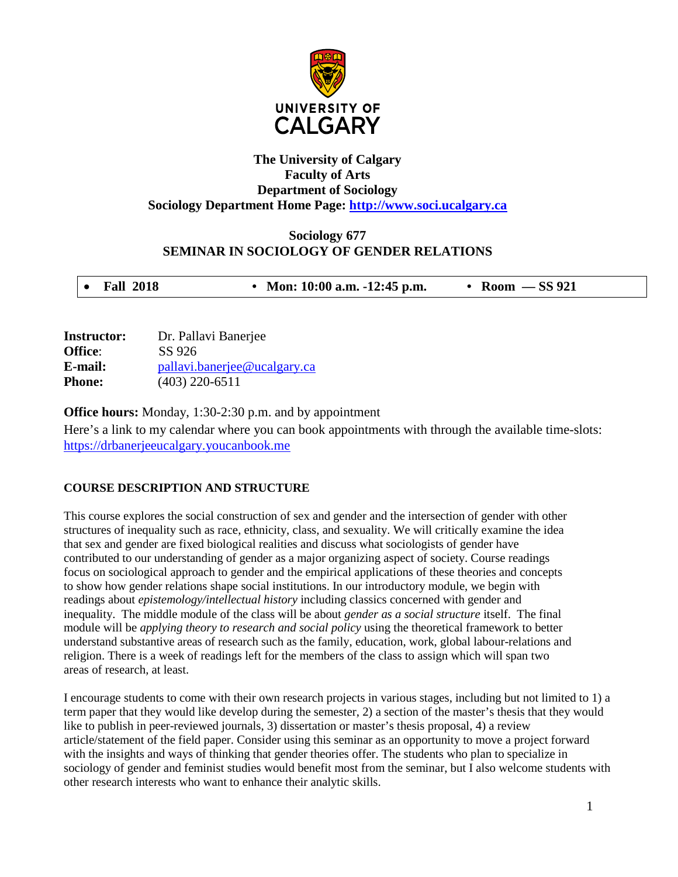

# **The University of Calgary Faculty of Arts Department of Sociology Sociology Department Home Page: [http://www.soci.ucalgary.ca](http://www.soci.ucalgary.ca/)**

# **Sociology 677 SEMINAR IN SOCIOLOGY OF GENDER RELATIONS**

| <b>Instructor:</b> | Dr. Pallavi Banerjee         |
|--------------------|------------------------------|
| Office:            | SS 926                       |
| E-mail:            | pallavi.banerjee@ucalgary.ca |
| <b>Phone:</b>      | $(403)$ 220-6511             |

**Office hours:** Monday, 1:30-2:30 p.m. and by appointment

Here's a link to my calendar where you can book appointments with through the available time-slots: [https://drbanerjeeucalgary.youcanbook.me](https://drbanerjeeucalgary.youcanbook.me/)

# **COURSE DESCRIPTION AND STRUCTURE**

This course explores the social construction of sex and gender and the intersection of gender with other structures of inequality such as race, ethnicity, class, and sexuality. We will critically examine the idea that sex and gender are fixed biological realities and discuss what sociologists of gender have contributed to our understanding of gender as a major organizing aspect of society. Course readings focus on sociological approach to gender and the empirical applications of these theories and concepts to show how gender relations shape social institutions. In our introductory module, we begin with readings about *epistemology/intellectual history* including classics concerned with gender and inequality. The middle module of the class will be about *gender as a social structure* itself. The final module will be *applying theory to research and social policy* using the theoretical framework to better understand substantive areas of research such as the family, education, work, global labour-relations and religion. There is a week of readings left for the members of the class to assign which will span two areas of research, at least.

I encourage students to come with their own research projects in various stages, including but not limited to 1) a term paper that they would like develop during the semester, 2) a section of the master's thesis that they would like to publish in peer-reviewed journals, 3) dissertation or master's thesis proposal, 4) a review article/statement of the field paper. Consider using this seminar as an opportunity to move a project forward with the insights and ways of thinking that gender theories offer. The students who plan to specialize in sociology of gender and feminist studies would benefit most from the seminar, but I also welcome students with other research interests who want to enhance their analytic skills.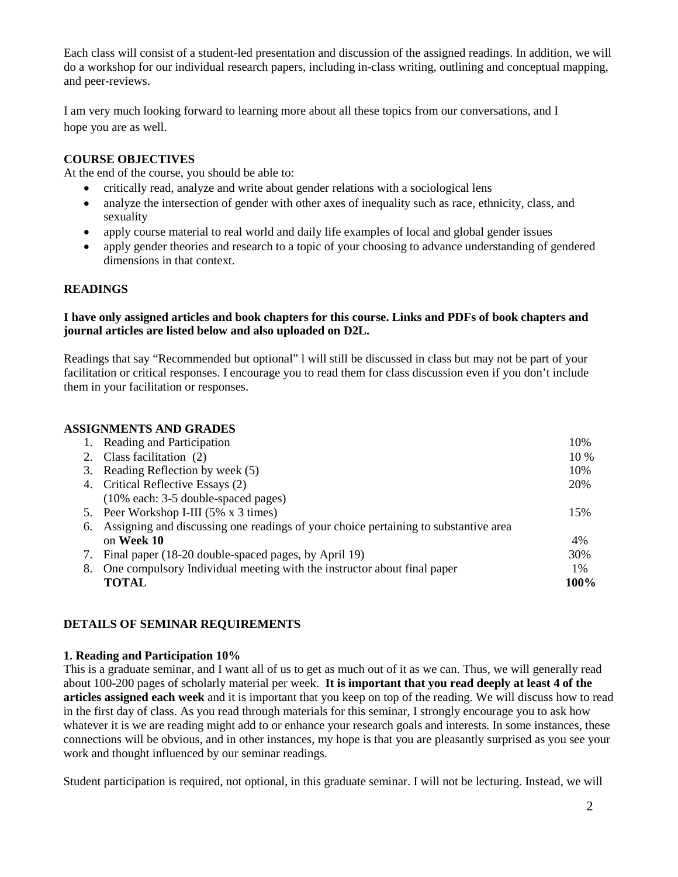Each class will consist of a student-led presentation and discussion of the assigned readings. In addition, we will do a workshop for our individual research papers, including in-class writing, outlining and conceptual mapping, and peer-reviews.

I am very much looking forward to learning more about all these topics from our conversations, and I hope you are as well.

### **COURSE OBJECTIVES**

At the end of the course, you should be able to:

- critically read, analyze and write about gender relations with a sociological lens
- analyze the intersection of gender with other axes of inequality such as race, ethnicity, class, and sexuality
- apply course material to real world and daily life examples of local and global gender issues
- apply gender theories and research to a topic of your choosing to advance understanding of gendered dimensions in that context.

### **READINGS**

### **I have only assigned articles and book chapters for this course. Links and PDFs of book chapters and journal articles are listed below and also uploaded on D2L.**

Readings that say "Recommended but optional" l will still be discussed in class but may not be part of your facilitation or critical responses. I encourage you to read them for class discussion even if you don't include them in your facilitation or responses.

### **ASSIGNMENTS AND GRADES**

|                                     | 10%                                                                                                                                                                                                                                                                                                                                                                                                       |
|-------------------------------------|-----------------------------------------------------------------------------------------------------------------------------------------------------------------------------------------------------------------------------------------------------------------------------------------------------------------------------------------------------------------------------------------------------------|
|                                     | $10\%$                                                                                                                                                                                                                                                                                                                                                                                                    |
|                                     | 10%                                                                                                                                                                                                                                                                                                                                                                                                       |
|                                     | 20%                                                                                                                                                                                                                                                                                                                                                                                                       |
| (10% each: 3-5 double-spaced pages) |                                                                                                                                                                                                                                                                                                                                                                                                           |
|                                     | 15%                                                                                                                                                                                                                                                                                                                                                                                                       |
|                                     |                                                                                                                                                                                                                                                                                                                                                                                                           |
| on Week 10                          | $4\%$                                                                                                                                                                                                                                                                                                                                                                                                     |
|                                     | 30%                                                                                                                                                                                                                                                                                                                                                                                                       |
|                                     | $1\%$                                                                                                                                                                                                                                                                                                                                                                                                     |
| <b>TOTAL</b>                        | 100%                                                                                                                                                                                                                                                                                                                                                                                                      |
|                                     | Reading and Participation<br>2. Class facilitation (2)<br>3. Reading Reflection by week (5)<br>4. Critical Reflective Essays (2)<br>5. Peer Workshop I-III (5% x 3 times)<br>6. Assigning and discussing one readings of your choice pertaining to substantive area<br>Final paper (18-20 double-spaced pages, by April 19)<br>8. One compulsory Individual meeting with the instructor about final paper |

# **DETAILS OF SEMINAR REQUIREMENTS**

#### **1. Reading and Participation 10%**

This is a graduate seminar, and I want all of us to get as much out of it as we can. Thus, we will generally read about 100-200 pages of scholarly material per week. **It is important that you read deeply at least 4 of the articles assigned each week** and it is important that you keep on top of the reading. We will discuss how to read in the first day of class. As you read through materials for this seminar, I strongly encourage you to ask how whatever it is we are reading might add to or enhance your research goals and interests. In some instances, these connections will be obvious, and in other instances, my hope is that you are pleasantly surprised as you see your work and thought influenced by our seminar readings.

Student participation is required, not optional, in this graduate seminar. I will not be lecturing. Instead, we will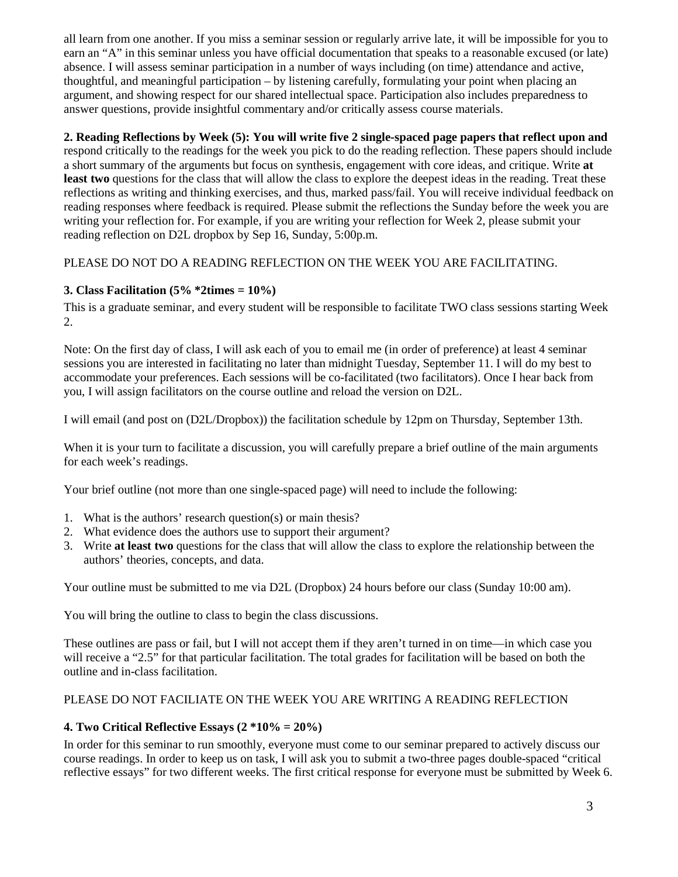all learn from one another. If you miss a seminar session or regularly arrive late, it will be impossible for you to earn an "A" in this seminar unless you have official documentation that speaks to a reasonable excused (or late) absence. I will assess seminar participation in a number of ways including (on time) attendance and active, thoughtful, and meaningful participation – by listening carefully, formulating your point when placing an argument, and showing respect for our shared intellectual space. Participation also includes preparedness to answer questions, provide insightful commentary and/or critically assess course materials.

# **2. Reading Reflections by Week (5): You will write five 2 single-spaced page papers that reflect upon and**

respond critically to the readings for the week you pick to do the reading reflection. These papers should include a short summary of the arguments but focus on synthesis, engagement with core ideas, and critique. Write **at**  least two questions for the class that will allow the class to explore the deepest ideas in the reading. Treat these reflections as writing and thinking exercises, and thus, marked pass/fail. You will receive individual feedback on reading responses where feedback is required. Please submit the reflections the Sunday before the week you are writing your reflection for. For example, if you are writing your reflection for Week 2, please submit your reading reflection on D2L dropbox by Sep 16, Sunday, 5:00p.m.

# PLEASE DO NOT DO A READING REFLECTION ON THE WEEK YOU ARE FACILITATING.

# **3. Class Facilitation (5% \*2times = 10%)**

This is a graduate seminar, and every student will be responsible to facilitate TWO class sessions starting Week 2.

Note: On the first day of class, I will ask each of you to email me (in order of preference) at least 4 seminar sessions you are interested in facilitating no later than midnight Tuesday, September 11. I will do my best to accommodate your preferences. Each sessions will be co-facilitated (two facilitators). Once I hear back from you, I will assign facilitators on the course outline and reload the version on D2L.

I will email (and post on (D2L/Dropbox)) the facilitation schedule by 12pm on Thursday, September 13th.

When it is your turn to facilitate a discussion, you will carefully prepare a brief outline of the main arguments for each week's readings.

Your brief outline (not more than one single-spaced page) will need to include the following:

- 1. What is the authors' research question(s) or main thesis?
- 2. What evidence does the authors use to support their argument?
- 3. Write **at least two** questions for the class that will allow the class to explore the relationship between the authors' theories, concepts, and data.

Your outline must be submitted to me via D2L (Dropbox) 24 hours before our class (Sunday 10:00 am).

You will bring the outline to class to begin the class discussions.

These outlines are pass or fail, but I will not accept them if they aren't turned in on time—in which case you will receive a "2.5" for that particular facilitation. The total grades for facilitation will be based on both the outline and in-class facilitation.

# PLEASE DO NOT FACILIATE ON THE WEEK YOU ARE WRITING A READING REFLECTION

# **4. Two Critical Reflective Essays (2 \*10% = 20%)**

In order for this seminar to run smoothly, everyone must come to our seminar prepared to actively discuss our course readings. In order to keep us on task, I will ask you to submit a two-three pages double-spaced "critical reflective essays" for two different weeks. The first critical response for everyone must be submitted by Week 6.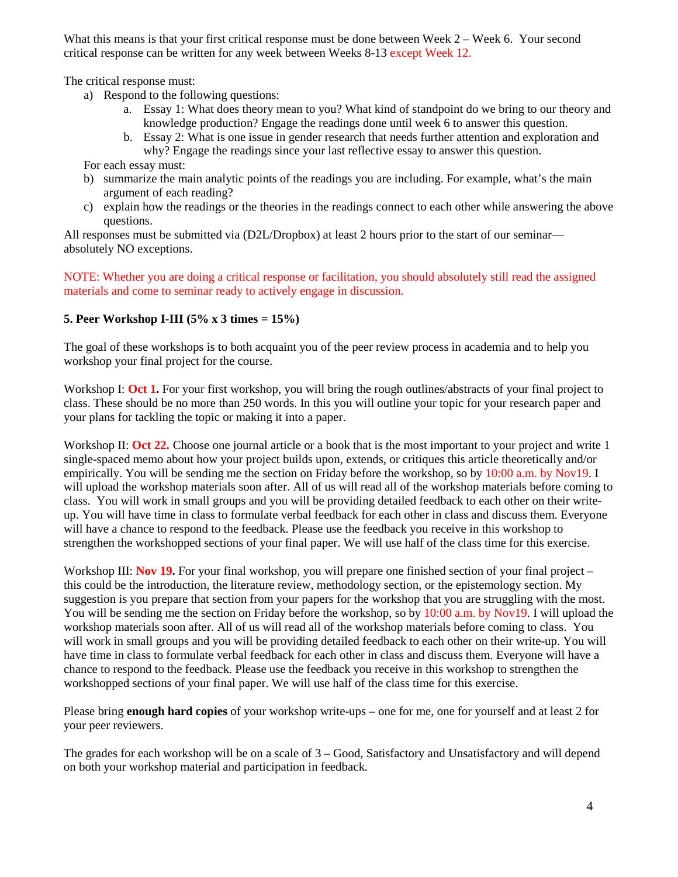What this means is that your first critical response must be done between Week 2 – Week 6. Your second critical response can be written for any week between Weeks 8-13 except Week 12.

The critical response must:

- a) Respond to the following questions:
	- a. Essay 1: What does theory mean to you? What kind of standpoint do we bring to our theory and knowledge production? Engage the readings done until week 6 to answer this question.
	- b. Essay 2: What is one issue in gender research that needs further attention and exploration and why? Engage the readings since your last reflective essay to answer this question.

For each essay must:

- b) summarize the main analytic points of the readings you are including. For example, what's the main argument of each reading?
- c) explain how the readings or the theories in the readings connect to each other while answering the above questions.

All responses must be submitted via (D2L/Dropbox) at least 2 hours prior to the start of our seminar absolutely NO exceptions.

NOTE: Whether you are doing a critical response or facilitation, you should absolutely still read the assigned materials and come to seminar ready to actively engage in discussion.

### **5. Peer Workshop I-III (5% x 3 times = 15%)**

The goal of these workshops is to both acquaint you of the peer review process in academia and to help you workshop your final project for the course.

Workshop I: Oct 1. For your first workshop, you will bring the rough outlines/abstracts of your final project to class. These should be no more than 250 words. In this you will outline your topic for your research paper and your plans for tackling the topic or making it into a paper.

Workshop II: **Oct 22.** Choose one journal article or a book that is the most important to your project and write 1 single-spaced memo about how your project builds upon, extends, or critiques this article theoretically and/or empirically. You will be sending me the section on Friday before the workshop, so by 10:00 a.m. by Nov19. I will upload the workshop materials soon after. All of us will read all of the workshop materials before coming to class. You will work in small groups and you will be providing detailed feedback to each other on their writeup. You will have time in class to formulate verbal feedback for each other in class and discuss them. Everyone will have a chance to respond to the feedback. Please use the feedback you receive in this workshop to strengthen the workshopped sections of your final paper. We will use half of the class time for this exercise.

Workshop III: **Nov 19.** For your final workshop, you will prepare one finished section of your final project – this could be the introduction, the literature review, methodology section, or the epistemology section. My suggestion is you prepare that section from your papers for the workshop that you are struggling with the most. You will be sending me the section on Friday before the workshop, so by 10:00 a.m. by Nov19. I will upload the workshop materials soon after. All of us will read all of the workshop materials before coming to class. You will work in small groups and you will be providing detailed feedback to each other on their write-up. You will have time in class to formulate verbal feedback for each other in class and discuss them. Everyone will have a chance to respond to the feedback. Please use the feedback you receive in this workshop to strengthen the workshopped sections of your final paper. We will use half of the class time for this exercise.

Please bring **enough hard copies** of your workshop write-ups – one for me, one for yourself and at least 2 for your peer reviewers.

The grades for each workshop will be on a scale of 3 – Good, Satisfactory and Unsatisfactory and will depend on both your workshop material and participation in feedback.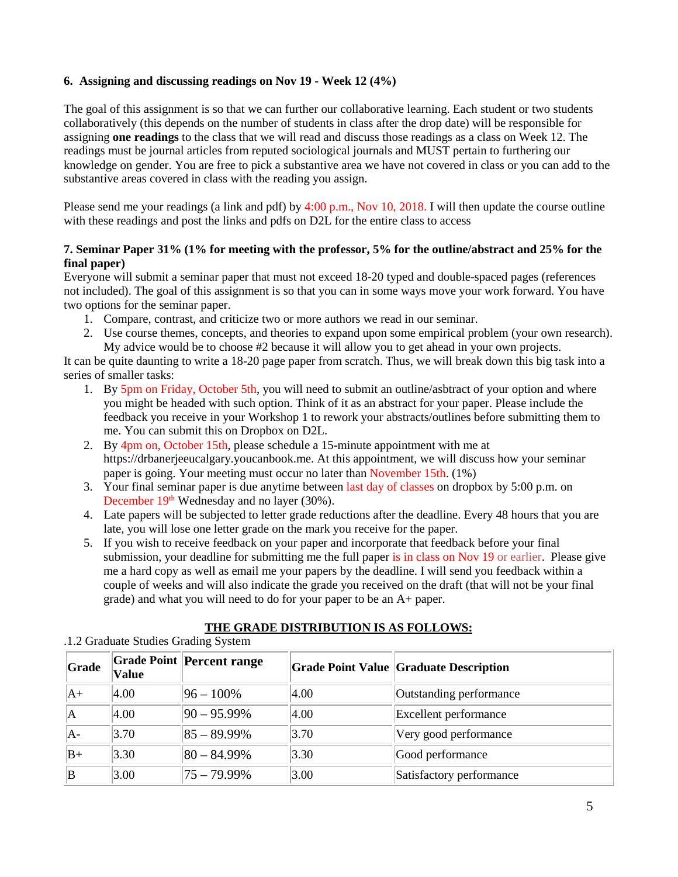### **6. Assigning and discussing readings on Nov 19 - Week 12 (4%)**

The goal of this assignment is so that we can further our collaborative learning. Each student or two students collaboratively (this depends on the number of students in class after the drop date) will be responsible for assigning **one readings** to the class that we will read and discuss those readings as a class on Week 12. The readings must be journal articles from reputed sociological journals and MUST pertain to furthering our knowledge on gender. You are free to pick a substantive area we have not covered in class or you can add to the substantive areas covered in class with the reading you assign.

Please send me your readings (a link and pdf) by 4:00 p.m., Nov 10, 2018. I will then update the course outline with these readings and post the links and pdfs on D2L for the entire class to access

### **7. Seminar Paper 31% (1% for meeting with the professor, 5% for the outline/abstract and 25% for the final paper)**

Everyone will submit a seminar paper that must not exceed 18-20 typed and double-spaced pages (references not included). The goal of this assignment is so that you can in some ways move your work forward. You have two options for the seminar paper.

- 1. Compare, contrast, and criticize two or more authors we read in our seminar.
- 2. Use course themes, concepts, and theories to expand upon some empirical problem (your own research). My advice would be to choose #2 because it will allow you to get ahead in your own projects.

It can be quite daunting to write a 18-20 page paper from scratch. Thus, we will break down this big task into a series of smaller tasks:

- 1. By 5pm on Friday, October 5th, you will need to submit an outline/asbtract of your option and where you might be headed with such option. Think of it as an abstract for your paper. Please include the feedback you receive in your Workshop 1 to rework your abstracts/outlines before submitting them to me. You can submit this on Dropbox on D2L.
- 2. By 4pm on, October 15th, please schedule a 15-minute appointment with me at [https://drbanerjeeucalgary.youcanbook.me.](https://drbanerjeeucalgary.youcanbook.me/) At this appointment, we will discuss how your seminar paper is going. Your meeting must occur no later than November 15th. (1%)
- 3. Your final seminar paper is due anytime between last day of classes on dropbox by 5:00 p.m. on December  $19<sup>th</sup>$  Wednesday and no layer (30%).
- 4. Late papers will be subjected to letter grade reductions after the deadline. Every 48 hours that you are late, you will lose one letter grade on the mark you receive for the paper.
- 5. If you wish to receive feedback on your paper and incorporate that feedback before your final submission, your deadline for submitting me the full paper is in class on Nov 19 or earlier. Please give me a hard copy as well as email me your papers by the deadline. I will send you feedback within a couple of weeks and will also indicate the grade you received on the draft (that will not be your final grade) and what you will need to do for your paper to be an A+ paper.

# **THE GRADE DISTRIBUTION IS AS FOLLOWS:**

| Grade | <b>Value</b> | <b>Grade Point Percent range</b> |                | <b>Grade Point Value Graduate Description</b> |
|-------|--------------|----------------------------------|----------------|-----------------------------------------------|
| lA+   | 4.00         | $ 96 - 100\% $                   | $ 4.00\rangle$ | Outstanding performance                       |
| ΙA    | 4.00         | $ 90 - 95.99\% $                 | $ 4.00\rangle$ | Excellent performance                         |
| A-    | 3.70         | $ 85 - 89.99\% $                 | 3.70           | Very good performance                         |
| $B+$  | 3.30         | $ 80 - 84.99\% $                 | 3.30           | Good performance                              |
| ΙB    | 3.00         | $75 - 79.99\%$                   | 3.00           | Satisfactory performance                      |

#### .1.2 Graduate Studies Grading System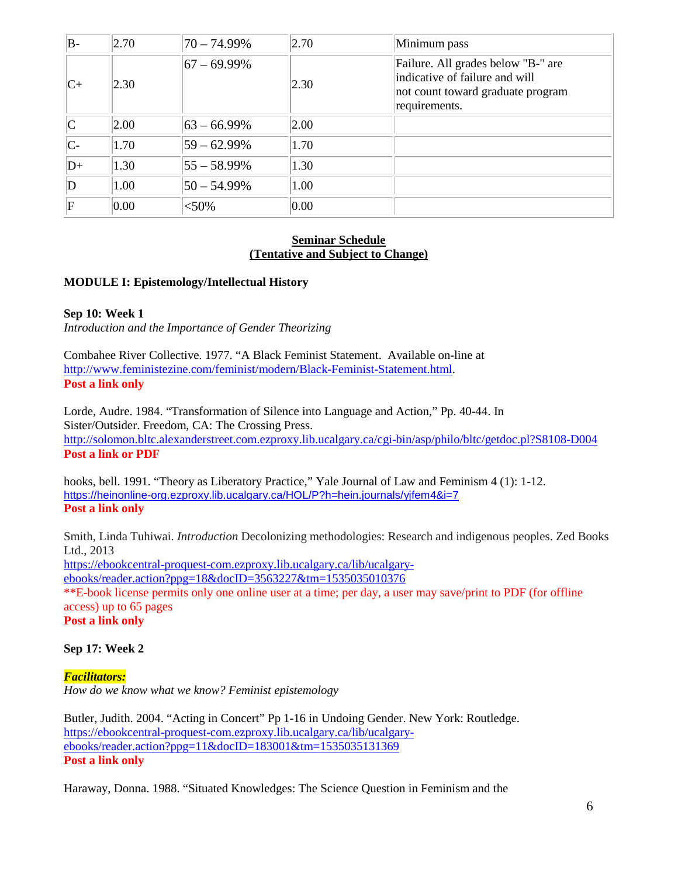| B-                      | 2.70 | 70 – 74.99%      | 2.70           | Minimum pass                                                                                                               |
|-------------------------|------|------------------|----------------|----------------------------------------------------------------------------------------------------------------------------|
| $ C+$                   | 2.30 | $ 67 - 69.99\% $ | 2.30           | Failure. All grades below "B-" are<br>indicative of failure and will<br>not count toward graduate program<br>requirements. |
| $\overline{\mathsf{C}}$ | 2.00 | $ 63 - 66.99\% $ | $ 2.00\rangle$ |                                                                                                                            |
| $\mathsf{C}$            | 1.70 | $ 59 - 62.99%$   | 1.70           |                                                                                                                            |
| $D+$                    | 1.30 | $ 55 - 58.99\% $ | 1.30           |                                                                                                                            |
| $\mathbf D$             | 1.00 | $ 50 - 54.99\% $ | 1.00           |                                                                                                                            |
| $\mathbf F$             | 0.00 | $<$ 50%          | 0.00           |                                                                                                                            |

#### **Seminar Schedule (Tentative and Subject to Change)**

#### **MODULE I: Epistemology/Intellectual History**

#### **Sep 10: Week 1**

*Introduction and the Importance of Gender Theorizing*

Combahee River Collective. 1977. "A Black Feminist Statement. Available on-line at [http://www.feministezine.com/feminist/modern/Black-Feminist-Statement.html.](http://www.feministezine.com/feminist/modern/Black-Feminist-Statement.html) **Post a link only**

Lorde, Audre. 1984. "Transformation of Silence into Language and Action," Pp. 40-44. In Sister/Outsider. Freedom, CA: The Crossing Press. <http://solomon.bltc.alexanderstreet.com.ezproxy.lib.ucalgary.ca/cgi-bin/asp/philo/bltc/getdoc.pl?S8108-D004> **Post a link or PDF**

hooks, bell. 1991. "Theory as Liberatory Practice," Yale Journal of Law and Feminism 4 (1): 1-12. <https://heinonline-org.ezproxy.lib.ucalgary.ca/HOL/P?h=hein.journals/yjfem4&i=7> **Post a link only**

Smith, Linda Tuhiwai. *Introduction* Decolonizing methodologies: Research and indigenous peoples. Zed Books Ltd., 2013 [https://ebookcentral-proquest-com.ezproxy.lib.ucalgary.ca/lib/ucalgary](https://ebookcentral-proquest-com.ezproxy.lib.ucalgary.ca/lib/ucalgary-ebooks/reader.action?ppg=18&docID=3563227&tm=1535035010376)[ebooks/reader.action?ppg=18&docID=3563227&tm=1535035010376](https://ebookcentral-proquest-com.ezproxy.lib.ucalgary.ca/lib/ucalgary-ebooks/reader.action?ppg=18&docID=3563227&tm=1535035010376) \*\*E-book license permits only one online user at a time; per day, a user may save/print to PDF (for offline access) up to 65 pages **Post a link only**

#### **Sep 17: Week 2**

*Facilitators: How do we know what we know? Feminist epistemology*

Butler, Judith. 2004. "Acting in Concert" Pp 1-16 in Undoing Gender. New York: Routledge. [https://ebookcentral-proquest-com.ezproxy.lib.ucalgary.ca/lib/ucalgary](https://ebookcentral-proquest-com.ezproxy.lib.ucalgary.ca/lib/ucalgary-ebooks/reader.action?ppg=11&docID=183001&tm=1535035131369)[ebooks/reader.action?ppg=11&docID=183001&tm=1535035131369](https://ebookcentral-proquest-com.ezproxy.lib.ucalgary.ca/lib/ucalgary-ebooks/reader.action?ppg=11&docID=183001&tm=1535035131369) **Post a link only**

Haraway, Donna. 1988. "Situated Knowledges: The Science Question in Feminism and the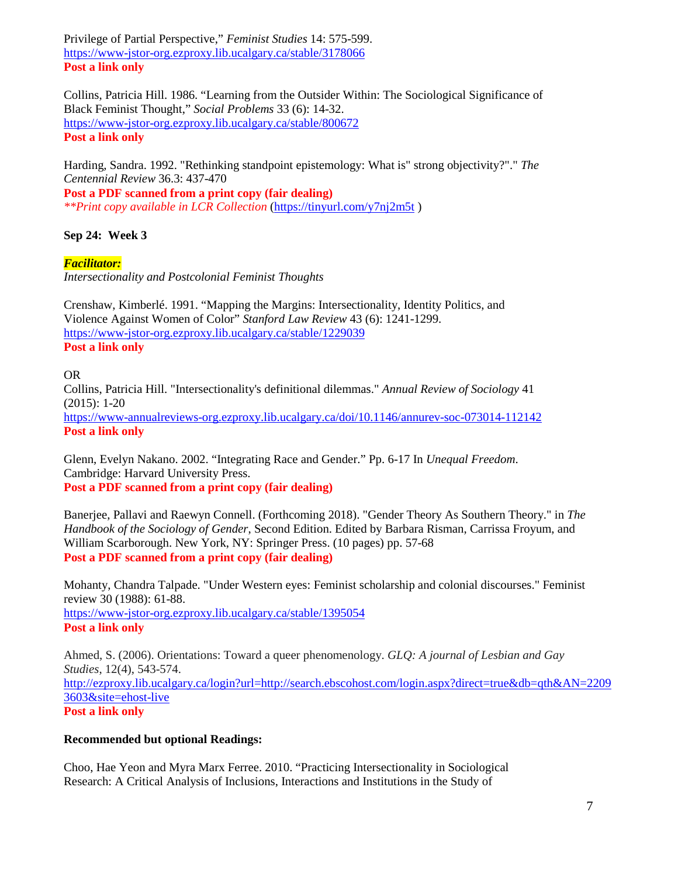Privilege of Partial Perspective," *Feminist Studies* 14: 575-599. <https://www-jstor-org.ezproxy.lib.ucalgary.ca/stable/3178066> **Post a link only**

Collins, Patricia Hill. 1986. "Learning from the Outsider Within: The Sociological Significance of Black Feminist Thought," *Social Problems* 33 (6): 14-32. <https://www-jstor-org.ezproxy.lib.ucalgary.ca/stable/800672> **Post a link only**

Harding, Sandra. 1992. "Rethinking standpoint epistemology: What is" strong objectivity?"." *The Centennial Review* 36.3: 437-470 **Post a PDF scanned from a print copy (fair dealing)**

*\*\*Print copy available in LCR Collection* [\(https://tinyurl.com/y7nj2m5t](https://tinyurl.com/y7nj2m5t) )

# **Sep 24: Week 3**

*Facilitator:* 

*Intersectionality and Postcolonial Feminist Thoughts*

Crenshaw, Kimberlé. 1991. "Mapping the Margins: Intersectionality, Identity Politics, and Violence Against Women of Color" *Stanford Law Review* 43 (6): 1241-1299. <https://www-jstor-org.ezproxy.lib.ucalgary.ca/stable/1229039> **Post a link only**

### OR

Collins, Patricia Hill. "Intersectionality's definitional dilemmas." *Annual Review of Sociology* 41 (2015): 1-20 <https://www-annualreviews-org.ezproxy.lib.ucalgary.ca/doi/10.1146/annurev-soc-073014-112142> **Post a link only**

Glenn, Evelyn Nakano. 2002. "Integrating Race and Gender." Pp. 6-17 In *Unequal Freedom*. Cambridge: Harvard University Press. **Post a PDF scanned from a print copy (fair dealing)**

Banerjee, Pallavi and Raewyn Connell. (Forthcoming 2018). "Gender Theory As Southern Theory." in *The Handbook of the Sociology of Gender*, Second Edition. Edited by Barbara Risman, Carrissa Froyum, and William Scarborough. New York, NY: Springer Press. (10 pages) pp. 57-68 **Post a PDF scanned from a print copy (fair dealing)**

Mohanty, Chandra Talpade. "Under Western eyes: Feminist scholarship and colonial discourses." Feminist review 30 (1988): 61-88. <https://www-jstor-org.ezproxy.lib.ucalgary.ca/stable/1395054> **Post a link only**

Ahmed, S. (2006). Orientations: Toward a queer phenomenology. *GLQ: A journal of Lesbian and Gay Studies*, 12(4), 543-574. [http://ezproxy.lib.ucalgary.ca/login?url=http://search.ebscohost.com/login.aspx?direct=true&db=qth&AN=2209](http://ezproxy.lib.ucalgary.ca/login?url=http://search.ebscohost.com/login.aspx?direct=true&db=qth&AN=22093603&site=ehost-live) [3603&site=ehost-live](http://ezproxy.lib.ucalgary.ca/login?url=http://search.ebscohost.com/login.aspx?direct=true&db=qth&AN=22093603&site=ehost-live) **Post a link only**

#### **Recommended but optional Readings:**

Choo, Hae Yeon and Myra Marx Ferree. 2010. "Practicing Intersectionality in Sociological Research: A Critical Analysis of Inclusions, Interactions and Institutions in the Study of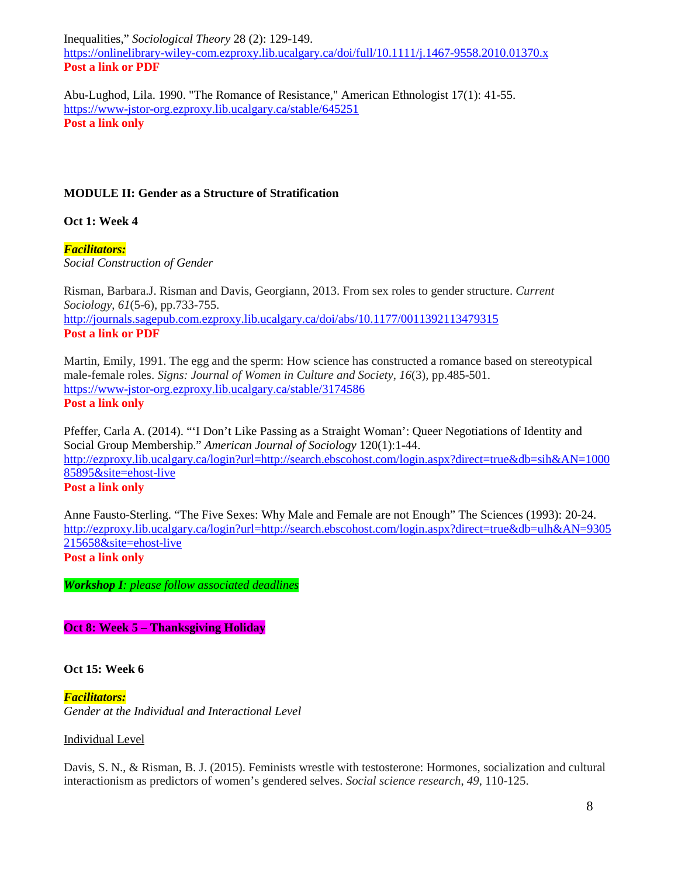Inequalities," *Sociological Theory* 28 (2): 129-149. <https://onlinelibrary-wiley-com.ezproxy.lib.ucalgary.ca/doi/full/10.1111/j.1467-9558.2010.01370.x> **Post a link or PDF**

Abu-Lughod, Lila. 1990. "The Romance of Resistance," American Ethnologist 17(1): 41-55. <https://www-jstor-org.ezproxy.lib.ucalgary.ca/stable/645251> **Post a link only**

### **MODULE II: Gender as a Structure of Stratification**

**Oct 1: Week 4**

*Facilitators: Social Construction of Gender*

Risman, Barbara.J. Risman and Davis, Georgiann, 2013. From sex roles to gender structure. *Current Sociology*, *61*(5-6), pp.733-755. <http://journals.sagepub.com.ezproxy.lib.ucalgary.ca/doi/abs/10.1177/0011392113479315> **Post a link or PDF**

Martin, Emily, 1991. The egg and the sperm: How science has constructed a romance based on stereotypical male-female roles. *Signs: Journal of Women in Culture and Society*, *16*(3), pp.485-501. <https://www-jstor-org.ezproxy.lib.ucalgary.ca/stable/3174586> **Post a link only**

Pfeffer, Carla A. (2014). "'I Don't Like Passing as a Straight Woman': Queer Negotiations of Identity and Social Group Membership." *American Journal of Sociology* 120(1):1-44. [http://ezproxy.lib.ucalgary.ca/login?url=http://search.ebscohost.com/login.aspx?direct=true&db=sih&AN=1000](http://ezproxy.lib.ucalgary.ca/login?url=http://search.ebscohost.com/login.aspx?direct=true&db=sih&AN=100085895&site=ehost-live) [85895&site=ehost-live](http://ezproxy.lib.ucalgary.ca/login?url=http://search.ebscohost.com/login.aspx?direct=true&db=sih&AN=100085895&site=ehost-live)

# **Post a link only**

Anne Fausto-Sterling. "The Five Sexes: Why Male and Female are not Enough" The Sciences (1993): 20-24. [http://ezproxy.lib.ucalgary.ca/login?url=http://search.ebscohost.com/login.aspx?direct=true&db=ulh&AN=9305](http://ezproxy.lib.ucalgary.ca/login?url=http://search.ebscohost.com/login.aspx?direct=true&db=ulh&AN=9305215658&site=ehost-live) [215658&site=ehost-live](http://ezproxy.lib.ucalgary.ca/login?url=http://search.ebscohost.com/login.aspx?direct=true&db=ulh&AN=9305215658&site=ehost-live) **Post a link only**

*Workshop I: please follow associated deadlines*

**Oct 8: Week 5 – Thanksgiving Holiday**

#### **Oct 15: Week 6**

*Facilitators: Gender at the Individual and Interactional Level* 

Individual Level

Davis, S. N., & Risman, B. J. (2015). Feminists wrestle with testosterone: Hormones, socialization and cultural interactionism as predictors of women's gendered selves. *Social science research*, *49*, 110-125.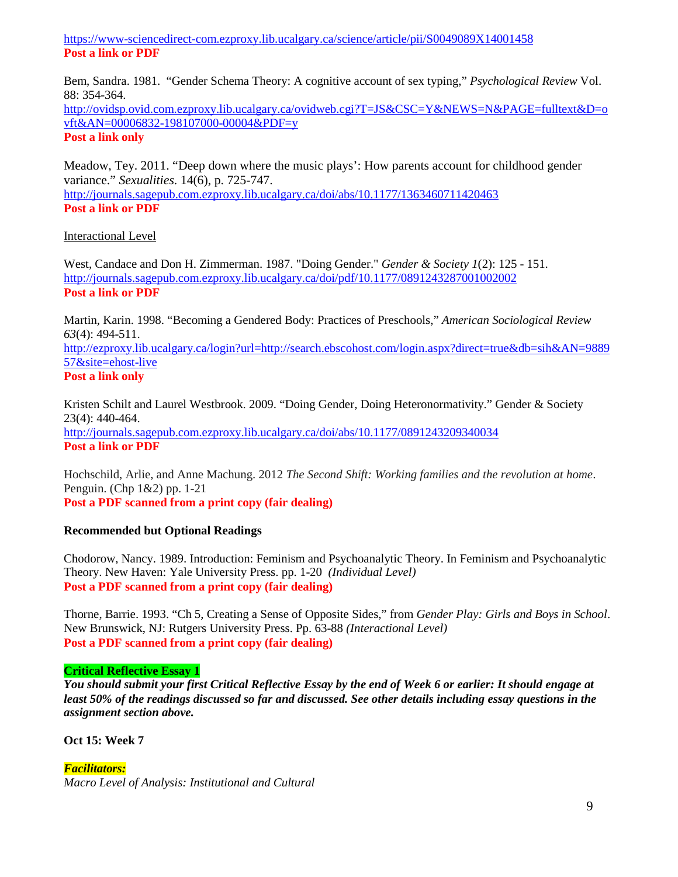<https://www-sciencedirect-com.ezproxy.lib.ucalgary.ca/science/article/pii/S0049089X14001458> **Post a link or PDF**

Bem, Sandra. 1981. "Gender Schema Theory: A cognitive account of sex typing," *Psychological Review* Vol. 88: 354-364.

[http://ovidsp.ovid.com.ezproxy.lib.ucalgary.ca/ovidweb.cgi?T=JS&CSC=Y&NEWS=N&PAGE=fulltext&D=o](http://ovidsp.ovid.com.ezproxy.lib.ucalgary.ca/ovidweb.cgi?T=JS&CSC=Y&NEWS=N&PAGE=fulltext&D=ovft&AN=00006832-198107000-00004&PDF=y) [vft&AN=00006832-198107000-00004&PDF=y](http://ovidsp.ovid.com.ezproxy.lib.ucalgary.ca/ovidweb.cgi?T=JS&CSC=Y&NEWS=N&PAGE=fulltext&D=ovft&AN=00006832-198107000-00004&PDF=y)

**Post a link only**

Meadow, Tey. 2011. "Deep down where the music plays': How parents account for childhood gender variance." *Sexualities*. 14(6), p. 725-747. <http://journals.sagepub.com.ezproxy.lib.ucalgary.ca/doi/abs/10.1177/1363460711420463> **Post a link or PDF**

#### Interactional Level

West, Candace and Don H. Zimmerman. 1987. "Doing Gender." *Gender & Society 1*(2): 125 - 151. <http://journals.sagepub.com.ezproxy.lib.ucalgary.ca/doi/pdf/10.1177/0891243287001002002> **Post a link or PDF**

Martin, Karin. 1998. "Becoming a Gendered Body: Practices of Preschools," *American Sociological Review 63*(4): 494-511.

[http://ezproxy.lib.ucalgary.ca/login?url=http://search.ebscohost.com/login.aspx?direct=true&db=sih&AN=9889](http://ezproxy.lib.ucalgary.ca/login?url=http://search.ebscohost.com/login.aspx?direct=true&db=sih&AN=988957&site=ehost-live) [57&site=ehost-live](http://ezproxy.lib.ucalgary.ca/login?url=http://search.ebscohost.com/login.aspx?direct=true&db=sih&AN=988957&site=ehost-live)

**Post a link only**

Kristen Schilt and Laurel Westbrook. 2009. "Doing Gender, Doing Heteronormativity." Gender & Society 23(4): 440-464. <http://journals.sagepub.com.ezproxy.lib.ucalgary.ca/doi/abs/10.1177/0891243209340034> **Post a link or PDF**

Hochschild, Arlie, and Anne Machung. 2012 *The Second Shift: Working families and the revolution at home*. Penguin. (Chp 1&2) pp. 1-21

**Post a PDF scanned from a print copy (fair dealing)**

# **Recommended but Optional Readings**

Chodorow, Nancy. 1989. Introduction: Feminism and Psychoanalytic Theory. In Feminism and Psychoanalytic Theory. New Haven: Yale University Press. pp. 1-20 *(Individual Level)* **Post a PDF scanned from a print copy (fair dealing)**

Thorne, Barrie. 1993. "Ch 5, Creating a Sense of Opposite Sides," from *Gender Play: Girls and Boys in School*. New Brunswick, NJ: Rutgers University Press. Pp. 63-88 *(Interactional Level)* **Post a PDF scanned from a print copy (fair dealing)**

## **Critical Reflective Essay 1**

*You should submit your first Critical Reflective Essay by the end of Week 6 or earlier: It should engage at least 50% of the readings discussed so far and discussed. See other details including essay questions in the assignment section above.* 

**Oct 15: Week 7**

*Facilitators: Macro Level of Analysis: Institutional and Cultural*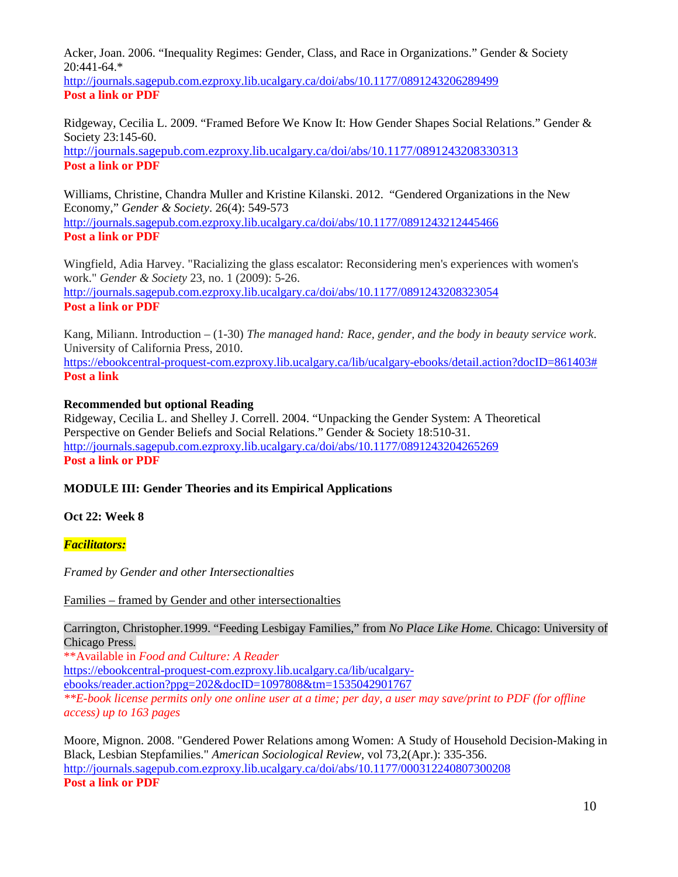Acker, Joan. 2006. "Inequality Regimes: Gender, Class, and Race in Organizations." Gender & Society 20:441-64.\* <http://journals.sagepub.com.ezproxy.lib.ucalgary.ca/doi/abs/10.1177/0891243206289499>

**Post a link or PDF**

Ridgeway, Cecilia L. 2009. "Framed Before We Know It: How Gender Shapes Social Relations." Gender & Society 23:145-60.

<http://journals.sagepub.com.ezproxy.lib.ucalgary.ca/doi/abs/10.1177/0891243208330313> **Post a link or PDF**

Williams, Christine, Chandra Muller and Kristine Kilanski. 2012. "Gendered Organizations in the New Economy," *Gender & Society*. 26(4): 549-573 <http://journals.sagepub.com.ezproxy.lib.ucalgary.ca/doi/abs/10.1177/0891243212445466> **Post a link or PDF**

Wingfield, Adia Harvey. "Racializing the glass escalator: Reconsidering men's experiences with women's work." *Gender & Society* 23, no. 1 (2009): 5-26. <http://journals.sagepub.com.ezproxy.lib.ucalgary.ca/doi/abs/10.1177/0891243208323054> **Post a link or PDF**

Kang, Miliann. Introduction – (1-30) *The managed hand: Race, gender, and the body in beauty service work*. University of California Press, 2010.

[https://ebookcentral-proquest-com.ezproxy.lib.ucalgary.ca/lib/ucalgary-ebooks/detail.action?docID=861403#](https://ebookcentral-proquest-com.ezproxy.lib.ucalgary.ca/lib/ucalgary-ebooks/detail.action?docID=861403) **Post a link**

# **Recommended but optional Reading**

Ridgeway, Cecilia L. and Shelley J. Correll. 2004. "Unpacking the Gender System: A Theoretical Perspective on Gender Beliefs and Social Relations." Gender & Society 18:510-31. <http://journals.sagepub.com.ezproxy.lib.ucalgary.ca/doi/abs/10.1177/0891243204265269> **Post a link or PDF**

# **MODULE III: Gender Theories and its Empirical Applications**

# **Oct 22: Week 8**

*Facilitators:* 

*Framed by Gender and other Intersectionalties*

Families – framed by Gender and other intersectionalties

Carrington, Christopher.1999. "Feeding Lesbigay Families," from *No Place Like Home.* Chicago: University of Chicago Press*.*

\*\*Available in *Food and Culture: A Reader*

[https://ebookcentral-proquest-com.ezproxy.lib.ucalgary.ca/lib/ucalgary-](https://ebookcentral-proquest-com.ezproxy.lib.ucalgary.ca/lib/ucalgary-ebooks/reader.action?ppg=202&docID=1097808&tm=1535042901767)

[ebooks/reader.action?ppg=202&docID=1097808&tm=1535042901767](https://ebookcentral-proquest-com.ezproxy.lib.ucalgary.ca/lib/ucalgary-ebooks/reader.action?ppg=202&docID=1097808&tm=1535042901767)

*\*\*E-book license permits only one online user at a time; per day, a user may save/print to PDF (for offline access) up to 163 pages*

Moore, Mignon. 2008. "Gendered Power Relations among Women: A Study of Household Decision-Making in Black, Lesbian Stepfamilies." *American Sociological Review,* vol 73,2(Apr.): 335-356. <http://journals.sagepub.com.ezproxy.lib.ucalgary.ca/doi/abs/10.1177/000312240807300208> **Post a link or PDF**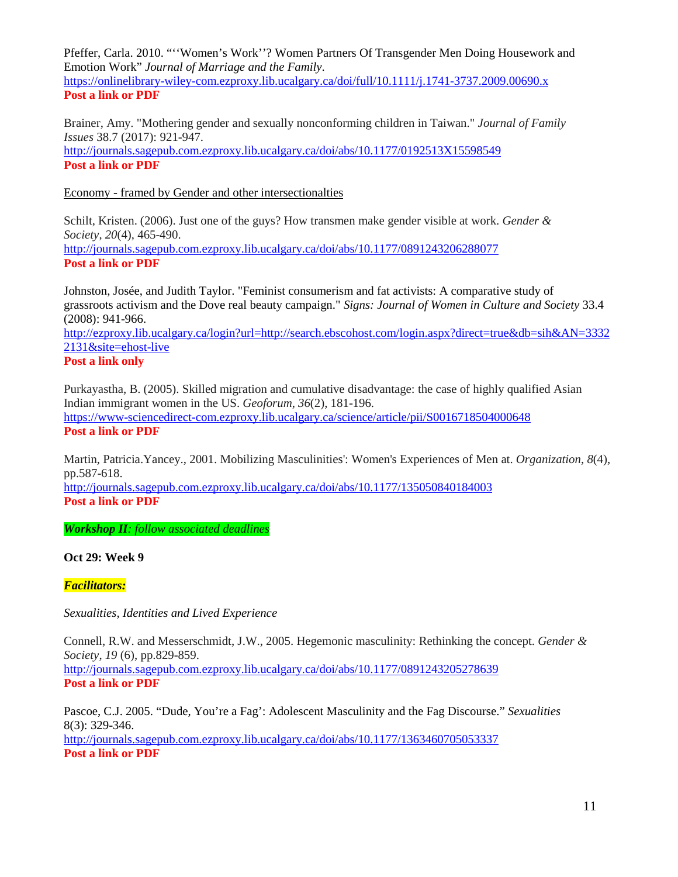Pfeffer, Carla. 2010. "''Women's Work''? Women Partners Of Transgender Men Doing Housework and Emotion Work" *Journal of Marriage and the Family*. <https://onlinelibrary-wiley-com.ezproxy.lib.ucalgary.ca/doi/full/10.1111/j.1741-3737.2009.00690.x> **Post a link or PDF**

Brainer, Amy. "Mothering gender and sexually nonconforming children in Taiwan." *Journal of Family Issues* 38.7 (2017): 921-947.

<http://journals.sagepub.com.ezproxy.lib.ucalgary.ca/doi/abs/10.1177/0192513X15598549> **Post a link or PDF**

Economy - framed by Gender and other intersectionalties

Schilt, Kristen. (2006). Just one of the guys? How transmen make gender visible at work. *Gender & Society*, *20*(4), 465-490. <http://journals.sagepub.com.ezproxy.lib.ucalgary.ca/doi/abs/10.1177/0891243206288077> **Post a link or PDF**

Johnston, Josée, and Judith Taylor. "Feminist consumerism and fat activists: A comparative study of grassroots activism and the Dove real beauty campaign." *Signs: Journal of Women in Culture and Society* 33.4 (2008): 941-966.

[http://ezproxy.lib.ucalgary.ca/login?url=http://search.ebscohost.com/login.aspx?direct=true&db=sih&AN=3332](http://ezproxy.lib.ucalgary.ca/login?url=http://search.ebscohost.com/login.aspx?direct=true&db=sih&AN=33322131&site=ehost-live) [2131&site=ehost-live](http://ezproxy.lib.ucalgary.ca/login?url=http://search.ebscohost.com/login.aspx?direct=true&db=sih&AN=33322131&site=ehost-live)

# **Post a link only**

Purkayastha, B. (2005). Skilled migration and cumulative disadvantage: the case of highly qualified Asian Indian immigrant women in the US. *Geoforum*, *36*(2), 181-196. <https://www-sciencedirect-com.ezproxy.lib.ucalgary.ca/science/article/pii/S0016718504000648> **Post a link or PDF**

Martin, Patricia.Yancey., 2001. Mobilizing Masculinities': Women's Experiences of Men at. *Organization*, *8*(4), pp.587-618.

<http://journals.sagepub.com.ezproxy.lib.ucalgary.ca/doi/abs/10.1177/135050840184003> **Post a link or PDF**

*Workshop II: follow associated deadlines*

**Oct 29: Week 9**

*Facilitators:* 

*Sexualities, Identities and Lived Experience*

Connell, R.W. and Messerschmidt, J.W., 2005. Hegemonic masculinity: Rethinking the concept. *Gender & Society*, *19* (6), pp.829-859. <http://journals.sagepub.com.ezproxy.lib.ucalgary.ca/doi/abs/10.1177/0891243205278639> **Post a link or PDF**

Pascoe, C.J. 2005. "Dude, You're a Fag': Adolescent Masculinity and the Fag Discourse." *Sexualities* 8(3): 329-346. <http://journals.sagepub.com.ezproxy.lib.ucalgary.ca/doi/abs/10.1177/1363460705053337> **Post a link or PDF**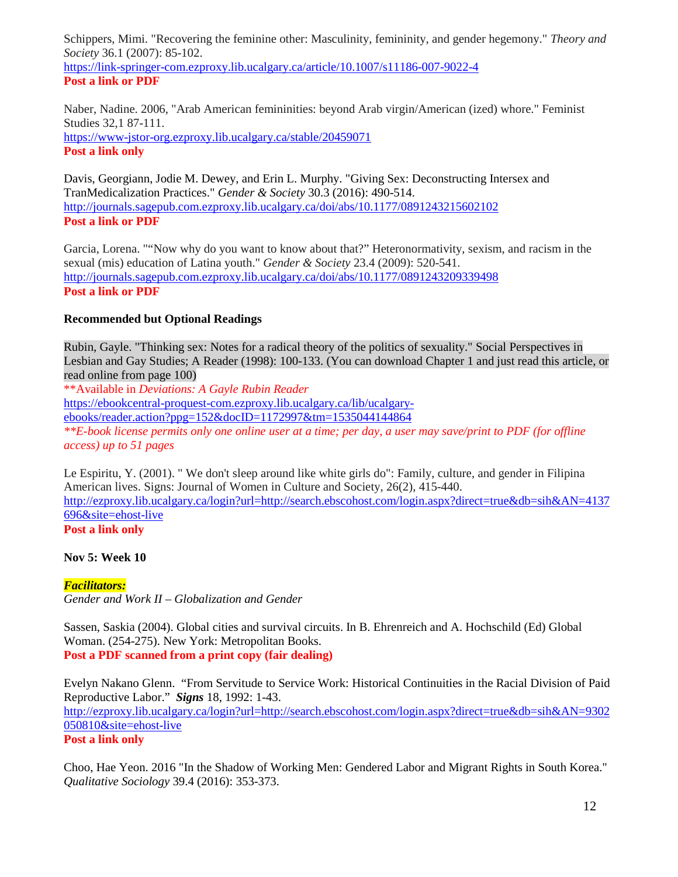Schippers, Mimi. "Recovering the feminine other: Masculinity, femininity, and gender hegemony." *Theory and Society* 36.1 (2007): 85-102. <https://link-springer-com.ezproxy.lib.ucalgary.ca/article/10.1007/s11186-007-9022-4>

# **Post a link or PDF**

Naber, Nadine. 2006, "Arab American femininities: beyond Arab virgin/American (ized) whore." Feminist Studies 32,1 87-111. <https://www-jstor-org.ezproxy.lib.ucalgary.ca/stable/20459071> **Post a link only**

Davis, Georgiann, Jodie M. Dewey, and Erin L. Murphy. "Giving Sex: Deconstructing Intersex and TranMedicalization Practices." *Gender & Society* 30.3 (2016): 490-514. <http://journals.sagepub.com.ezproxy.lib.ucalgary.ca/doi/abs/10.1177/0891243215602102> **Post a link or PDF**

Garcia, Lorena. ""Now why do you want to know about that?" Heteronormativity, sexism, and racism in the sexual (mis) education of Latina youth." *Gender & Society* 23.4 (2009): 520-541. <http://journals.sagepub.com.ezproxy.lib.ucalgary.ca/doi/abs/10.1177/0891243209339498> **Post a link or PDF**

# **Recommended but Optional Readings**

Rubin, Gayle. "Thinking sex: Notes for a radical theory of the politics of sexuality." Social Perspectives in Lesbian and Gay Studies; A Reader (1998): 100-133. (You can download Chapter 1 and just read this article, or read online from page 100) \*\*Available in *Deviations: A Gayle Rubin Reader*

[https://ebookcentral-proquest-com.ezproxy.lib.ucalgary.ca/lib/ucalgary](https://ebookcentral-proquest-com.ezproxy.lib.ucalgary.ca/lib/ucalgary-ebooks/reader.action?ppg=152&docID=1172997&tm=1535044144864)[ebooks/reader.action?ppg=152&docID=1172997&tm=1535044144864](https://ebookcentral-proquest-com.ezproxy.lib.ucalgary.ca/lib/ucalgary-ebooks/reader.action?ppg=152&docID=1172997&tm=1535044144864) *\*\*E-book license permits only one online user at a time; per day, a user may save/print to PDF (for offline access) up to 51 pages*

Le Espiritu, Y. (2001). " We don't sleep around like white girls do": Family, culture, and gender in Filipina American lives. Signs: Journal of Women in Culture and Society, 26(2), 415-440. [http://ezproxy.lib.ucalgary.ca/login?url=http://search.ebscohost.com/login.aspx?direct=true&db=sih&AN=4137](http://ezproxy.lib.ucalgary.ca/login?url=http://search.ebscohost.com/login.aspx?direct=true&db=sih&AN=4137696&site=ehost-live) [696&site=ehost-live](http://ezproxy.lib.ucalgary.ca/login?url=http://search.ebscohost.com/login.aspx?direct=true&db=sih&AN=4137696&site=ehost-live) **Post a link only**

# **Nov 5: Week 10**

# *Facilitators:*

*Gender and Work II – Globalization and Gender*

Sassen, Saskia (2004). Global cities and survival circuits. In B. Ehrenreich and A. Hochschild (Ed) Global Woman. (254-275). New York: Metropolitan Books. **Post a PDF scanned from a print copy (fair dealing)**

Evelyn Nakano Glenn. "From Servitude to Service Work: Historical Continuities in the Racial Division of Paid Reproductive Labor." *Signs* 18, 1992: 1-43. [http://ezproxy.lib.ucalgary.ca/login?url=http://search.ebscohost.com/login.aspx?direct=true&db=sih&AN=9302](http://ezproxy.lib.ucalgary.ca/login?url=http://search.ebscohost.com/login.aspx?direct=true&db=sih&AN=9302050810&site=ehost-live) [050810&site=ehost-live](http://ezproxy.lib.ucalgary.ca/login?url=http://search.ebscohost.com/login.aspx?direct=true&db=sih&AN=9302050810&site=ehost-live) **Post a link only**

Choo, Hae Yeon. 2016 "In the Shadow of Working Men: Gendered Labor and Migrant Rights in South Korea." *Qualitative Sociology* 39.4 (2016): 353-373.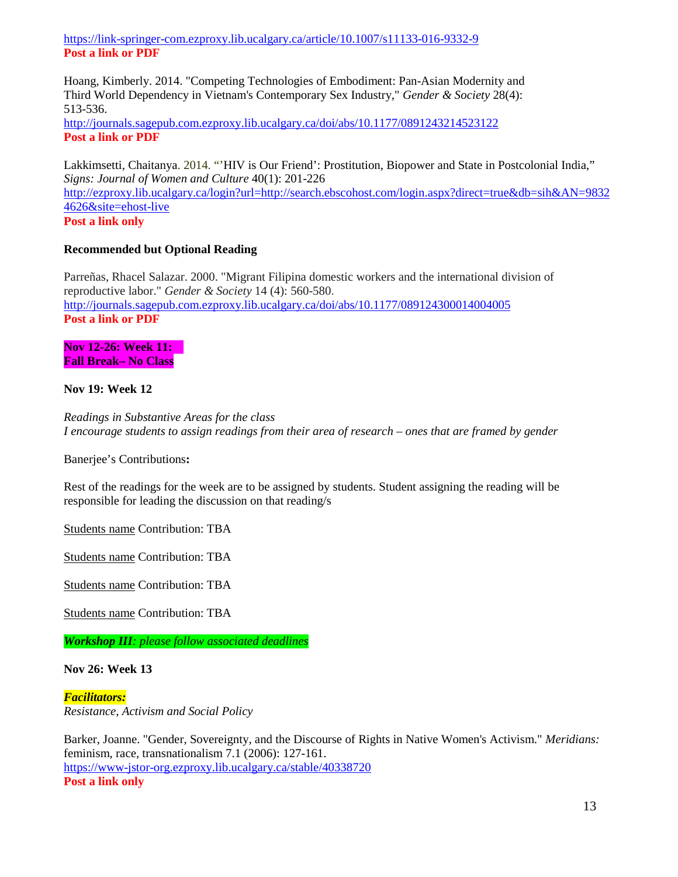<https://link-springer-com.ezproxy.lib.ucalgary.ca/article/10.1007/s11133-016-9332-9> **Post a link or PDF**

Hoang, Kimberly. 2014. "Competing Technologies of Embodiment: Pan-Asian Modernity and Third World Dependency in Vietnam's Contemporary Sex Industry," *Gender & Society* 28(4): 513-536.

<http://journals.sagepub.com.ezproxy.lib.ucalgary.ca/doi/abs/10.1177/0891243214523122> **Post a link or PDF**

Lakkimsetti, Chaitanya. 2014. "'HIV is Our Friend': Prostitution, Biopower and State in Postcolonial India," *Signs: Journal of Women and Culture* 40(1): 201-226 [http://ezproxy.lib.ucalgary.ca/login?url=http://search.ebscohost.com/login.aspx?direct=true&db=sih&AN=9832](http://ezproxy.lib.ucalgary.ca/login?url=http://search.ebscohost.com/login.aspx?direct=true&db=sih&AN=98324626&site=ehost-live) [4626&site=ehost-live](http://ezproxy.lib.ucalgary.ca/login?url=http://search.ebscohost.com/login.aspx?direct=true&db=sih&AN=98324626&site=ehost-live) **Post a link only**

### **Recommended but Optional Reading**

Parreñas, Rhacel Salazar. 2000. "Migrant Filipina domestic workers and the international division of reproductive labor." *Gender & Society* 14 (4): 560-580. <http://journals.sagepub.com.ezproxy.lib.ucalgary.ca/doi/abs/10.1177/089124300014004005> **Post a link or PDF**

**Nov 12-26: Week 11: Fall Break– No Class**

**Nov 19: Week 12**

*Readings in Substantive Areas for the class I encourage students to assign readings from their area of research – ones that are framed by gender*

Banerjee's Contributions**:** 

Rest of the readings for the week are to be assigned by students. Student assigning the reading will be responsible for leading the discussion on that reading/s

Students name Contribution: TBA

Students name Contribution: TBA

Students name Contribution: TBA

Students name Contribution: TBA

*Workshop III: please follow associated deadlines*

**Nov 26: Week 13**

#### *Facilitators:*

*Resistance, Activism and Social Policy*

Barker, Joanne. "Gender, Sovereignty, and the Discourse of Rights in Native Women's Activism." *Meridians:* feminism, race, transnationalism 7.1 (2006): 127-161. <https://www-jstor-org.ezproxy.lib.ucalgary.ca/stable/40338720> **Post a link only**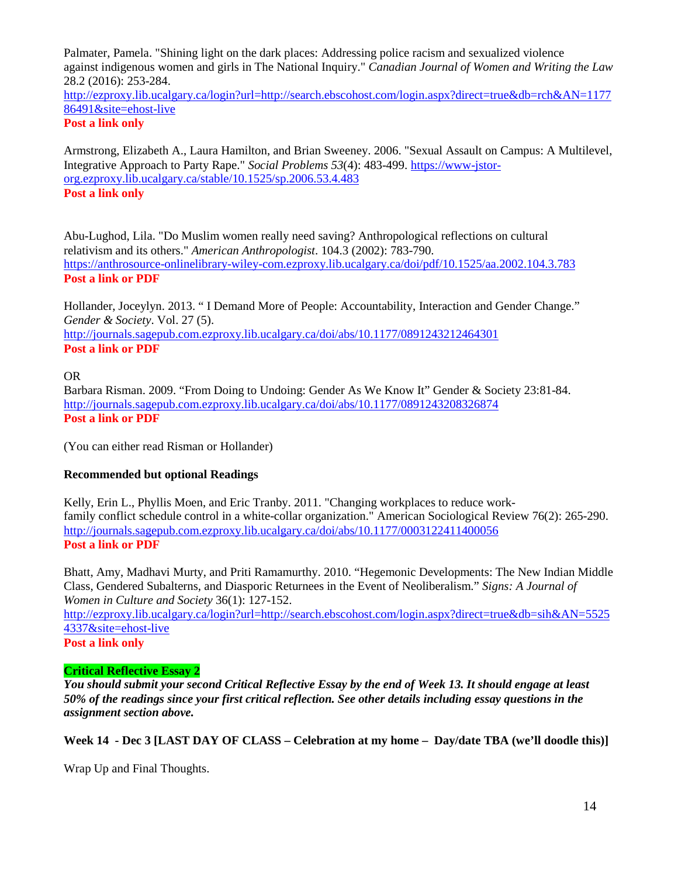Palmater, Pamela. "Shining light on the dark places: Addressing police racism and sexualized violence against indigenous women and girls in The National Inquiry." *Canadian Journal of Women and Writing the Law* 28.2 (2016): 253-284. [http://ezproxy.lib.ucalgary.ca/login?url=http://search.ebscohost.com/login.aspx?direct=true&db=rch&AN=1177](http://ezproxy.lib.ucalgary.ca/login?url=http://search.ebscohost.com/login.aspx?direct=true&db=rch&AN=117786491&site=ehost-live) [86491&site=ehost-live](http://ezproxy.lib.ucalgary.ca/login?url=http://search.ebscohost.com/login.aspx?direct=true&db=rch&AN=117786491&site=ehost-live)

# **Post a link only**

Armstrong, Elizabeth A., Laura Hamilton, and Brian Sweeney. 2006. "Sexual Assault on Campus: A Multilevel, Integrative Approach to Party Rape." *Social Problems 53*(4): 483-499. [https://www-jstor](https://www-jstor-org.ezproxy.lib.ucalgary.ca/stable/10.1525/sp.2006.53.4.483)[org.ezproxy.lib.ucalgary.ca/stable/10.1525/sp.2006.53.4.483](https://www-jstor-org.ezproxy.lib.ucalgary.ca/stable/10.1525/sp.2006.53.4.483) **Post a link only**

Abu-Lughod, Lila. "Do Muslim women really need saving? Anthropological reflections on cultural relativism and its others." *American Anthropologist*. 104.3 (2002): 783-790. <https://anthrosource-onlinelibrary-wiley-com.ezproxy.lib.ucalgary.ca/doi/pdf/10.1525/aa.2002.104.3.783> **Post a link or PDF**

Hollander, Joceylyn. 2013. " I Demand More of People: Accountability, Interaction and Gender Change." *Gender & Society*. Vol. 27 (5). <http://journals.sagepub.com.ezproxy.lib.ucalgary.ca/doi/abs/10.1177/0891243212464301> **Post a link or PDF**

# OR

Barbara Risman. 2009. "From Doing to Undoing: Gender As We Know It" Gender & Society 23:81-84. <http://journals.sagepub.com.ezproxy.lib.ucalgary.ca/doi/abs/10.1177/0891243208326874> **Post a link or PDF**

(You can either read Risman or Hollander)

# **Recommended but optional Readings**

Kelly, Erin L., Phyllis Moen, and Eric Tranby. 2011. "Changing workplaces to reduce workfamily conflict schedule control in a white-collar organization." American Sociological Review 76(2): 265-290. <http://journals.sagepub.com.ezproxy.lib.ucalgary.ca/doi/abs/10.1177/0003122411400056> **Post a link or PDF**

Bhatt, Amy, Madhavi Murty, and Priti Ramamurthy. 2010. "Hegemonic Developments: The New Indian Middle Class, Gendered Subalterns, and Diasporic Returnees in the Event of Neoliberalism." *Signs: A Journal of Women in Culture and Society* 36(1): 127-152.

[http://ezproxy.lib.ucalgary.ca/login?url=http://search.ebscohost.com/login.aspx?direct=true&db=sih&AN=5525](http://ezproxy.lib.ucalgary.ca/login?url=http://search.ebscohost.com/login.aspx?direct=true&db=sih&AN=55254337&site=ehost-live) [4337&site=ehost-live](http://ezproxy.lib.ucalgary.ca/login?url=http://search.ebscohost.com/login.aspx?direct=true&db=sih&AN=55254337&site=ehost-live)

#### **Post a link only**

# **Critical Reflective Essay 2**

*You should submit your second Critical Reflective Essay by the end of Week 13. It should engage at least 50% of the readings since your first critical reflection. See other details including essay questions in the assignment section above.* 

# **Week 14 - Dec 3 [LAST DAY OF CLASS – Celebration at my home – Day/date TBA (we'll doodle this)]**

Wrap Up and Final Thoughts.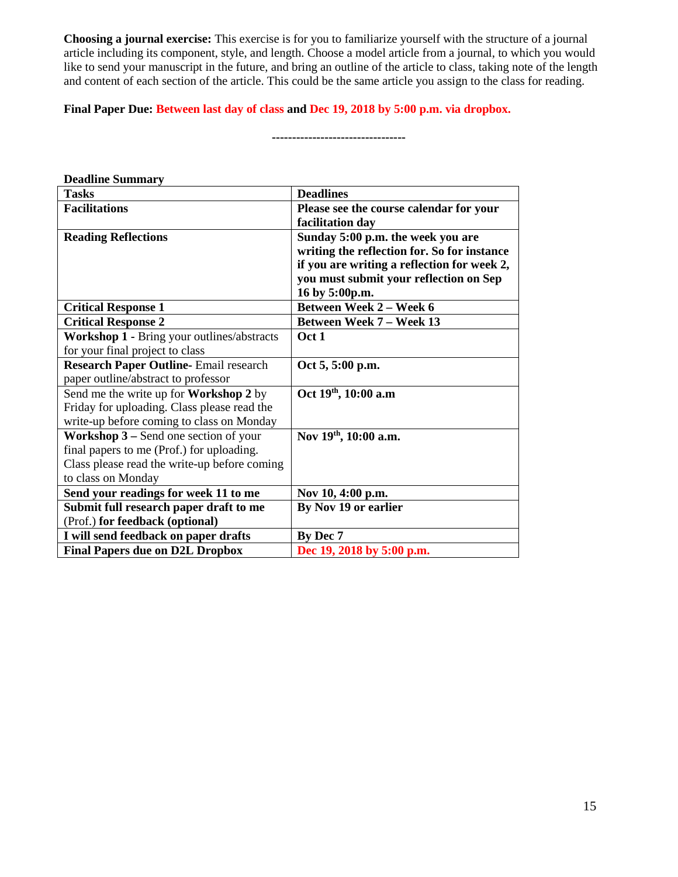**Choosing a journal exercise:** This exercise is for you to familiarize yourself with the structure of a journal article including its component, style, and length. Choose a model article from a journal, to which you would like to send your manuscript in the future, and bring an outline of the article to class, taking note of the length and content of each section of the article. This could be the same article you assign to the class for reading.

#### **Final Paper Due: Between last day of class and Dec 19, 2018 by 5:00 p.m. via dropbox.**

**---------------------------------**

| <b>Deadline Summary</b>                                   |                                             |
|-----------------------------------------------------------|---------------------------------------------|
| <b>Tasks</b>                                              | <b>Deadlines</b>                            |
| <b>Facilitations</b>                                      | Please see the course calendar for your     |
|                                                           | facilitation day                            |
| <b>Reading Reflections</b>                                | Sunday 5:00 p.m. the week you are           |
|                                                           | writing the reflection for. So for instance |
|                                                           | if you are writing a reflection for week 2, |
|                                                           | you must submit your reflection on Sep      |
|                                                           | 16 by 5:00p.m.                              |
| <b>Critical Response 1</b>                                | <b>Between Week 2 - Week 6</b>              |
| <b>Critical Response 2</b>                                | <b>Between Week 7 – Week 13</b>             |
| Workshop 1 - Bring your outlines/abstracts                | Oct 1                                       |
| for your final project to class                           |                                             |
| <b>Research Paper Outline-Email research</b>              | Oct 5, 5:00 p.m.                            |
| paper outline/abstract to professor                       |                                             |
| Send me the write up for Workshop 2 by                    | Oct 19th, 10:00 a.m                         |
| Friday for uploading. Class please read the               |                                             |
| write-up before coming to class on Monday                 |                                             |
| <b>Workshop <math>3</math> – Send one section of your</b> | Nov 19th, 10:00 a.m.                        |
| final papers to me (Prof.) for uploading.                 |                                             |
| Class please read the write-up before coming              |                                             |
| to class on Monday                                        |                                             |
| Send your readings for week 11 to me                      | Nov 10, 4:00 p.m.                           |
| Submit full research paper draft to me                    | By Nov 19 or earlier                        |
| (Prof.) for feedback (optional)                           |                                             |
| I will send feedback on paper drafts                      | By Dec 7                                    |
| <b>Final Papers due on D2L Dropbox</b>                    | Dec 19, 2018 by 5:00 p.m.                   |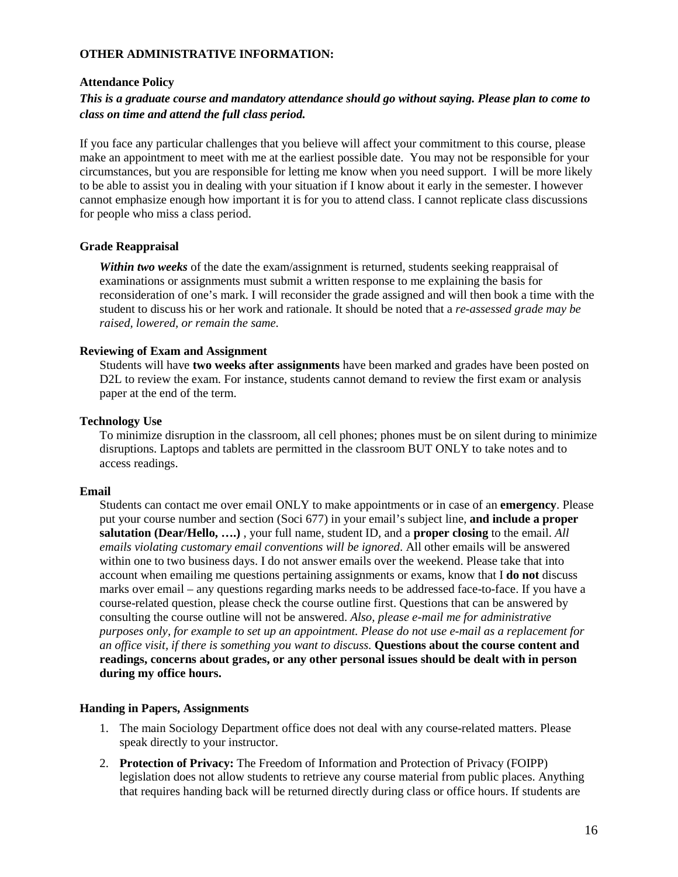#### **OTHER ADMINISTRATIVE INFORMATION:**

#### **Attendance Policy**

## *This is a graduate course and mandatory attendance should go without saying. Please plan to come to class on time and attend the full class period.*

If you face any particular challenges that you believe will affect your commitment to this course, please make an appointment to meet with me at the earliest possible date. You may not be responsible for your circumstances, but you are responsible for letting me know when you need support. I will be more likely to be able to assist you in dealing with your situation if I know about it early in the semester. I however cannot emphasize enough how important it is for you to attend class. I cannot replicate class discussions for people who miss a class period.

#### **Grade Reappraisal**

*Within two weeks* of the date the exam/assignment is returned, students seeking reappraisal of examinations or assignments must submit a written response to me explaining the basis for reconsideration of one's mark. I will reconsider the grade assigned and will then book a time with the student to discuss his or her work and rationale. It should be noted that a *re-assessed grade may be raised, lowered, or remain the same.*

#### **Reviewing of Exam and Assignment**

Students will have **two weeks after assignments** have been marked and grades have been posted on D2L to review the exam. For instance, students cannot demand to review the first exam or analysis paper at the end of the term.

#### **Technology Use**

To minimize disruption in the classroom, all cell phones; phones must be on silent during to minimize disruptions. Laptops and tablets are permitted in the classroom BUT ONLY to take notes and to access readings.

#### **Email**

Students can contact me over email ONLY to make appointments or in case of an **emergency**. Please put your course number and section (Soci 677) in your email's subject line, **and include a proper salutation (Dear/Hello, ….)** , your full name, student ID, and a **proper closing** to the email. *All emails violating customary email conventions will be ignored*. All other emails will be answered within one to two business days. I do not answer emails over the weekend. Please take that into account when emailing me questions pertaining assignments or exams, know that I **do not** discuss marks over email – any questions regarding marks needs to be addressed face-to-face. If you have a course-related question, please check the course outline first. Questions that can be answered by consulting the course outline will not be answered. *Also, please e-mail me for administrative purposes only, for example to set up an appointment. Please do not use e-mail as a replacement for an office visit, if there is something you want to discuss.* **Questions about the course content and readings, concerns about grades, or any other personal issues should be dealt with in person during my office hours.**

#### **Handing in Papers, Assignments**

- 1. The main Sociology Department office does not deal with any course-related matters. Please speak directly to your instructor.
- 2. **Protection of Privacy:** The Freedom of Information and Protection of Privacy (FOIPP) legislation does not allow students to retrieve any course material from public places. Anything that requires handing back will be returned directly during class or office hours. If students are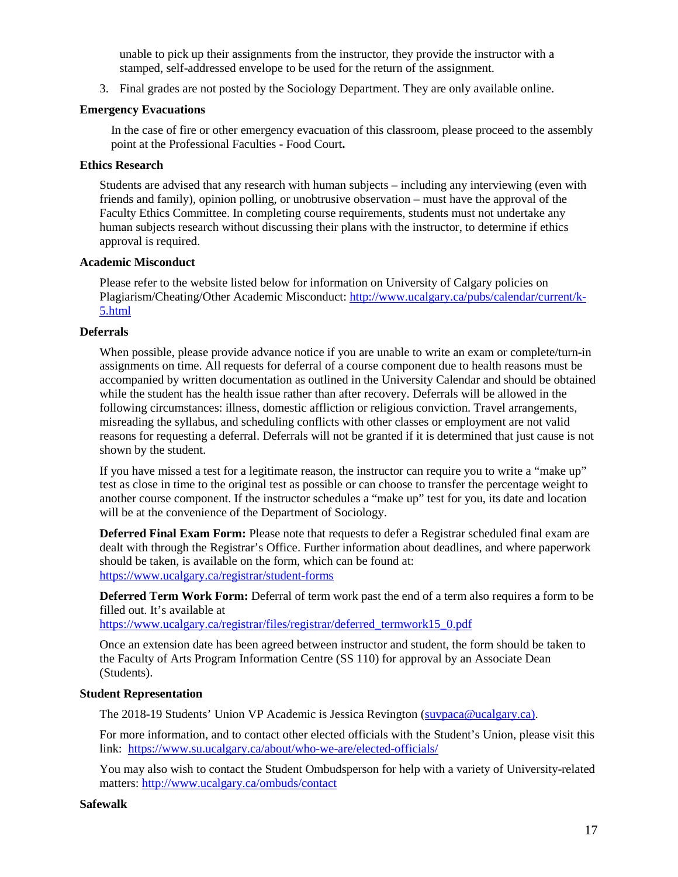unable to pick up their assignments from the instructor, they provide the instructor with a stamped, self-addressed envelope to be used for the return of the assignment.

3. Final grades are not posted by the Sociology Department. They are only available online.

#### **Emergency Evacuations**

In the case of fire or other emergency evacuation of this classroom, please proceed to the assembly point at the Professional Faculties - Food Court**.**

#### **Ethics Research**

Students are advised that any research with human subjects – including any interviewing (even with friends and family), opinion polling, or unobtrusive observation – must have the approval of the Faculty Ethics Committee. In completing course requirements, students must not undertake any human subjects research without discussing their plans with the instructor, to determine if ethics approval is required.

#### **Academic Misconduct**

Please refer to the website listed below for information on University of Calgary policies on Plagiarism/Cheating/Other Academic Misconduct: [http://www.ucalgary.ca/pubs/calendar/current/k-](http://www.ucalgary.ca/pubs/calendar/current/k-5.html)[5.html](http://www.ucalgary.ca/pubs/calendar/current/k-5.html)

#### **Deferrals**

When possible, please provide advance notice if you are unable to write an exam or complete/turn-in assignments on time. All requests for deferral of a course component due to health reasons must be accompanied by written documentation as outlined in the University Calendar and should be obtained while the student has the health issue rather than after recovery. Deferrals will be allowed in the following circumstances: illness, domestic affliction or religious conviction. Travel arrangements, misreading the syllabus, and scheduling conflicts with other classes or employment are not valid reasons for requesting a deferral. Deferrals will not be granted if it is determined that just cause is not shown by the student.

If you have missed a test for a legitimate reason, the instructor can require you to write a "make up" test as close in time to the original test as possible or can choose to transfer the percentage weight to another course component. If the instructor schedules a "make up" test for you, its date and location will be at the convenience of the Department of Sociology.

**Deferred Final Exam Form:** Please note that requests to defer a Registrar scheduled final exam are dealt with through the Registrar's Office. Further information about deadlines, and where paperwork should be taken, is available on the form, which can be found at: <https://www.ucalgary.ca/registrar/student-forms>

**Deferred Term Work Form:** Deferral of term work past the end of a term also requires a form to be filled out. It's available at

https://www.ucalgary.ca/registrar/files/registrar/deferred\_termwork15\_0.pdf

Once an extension date has been agreed between instructor and student, the form should be taken to the Faculty of Arts Program Information Centre (SS 110) for approval by an Associate Dean (Students).

#### **Student Representation**

The 2018-19 Students' Union VP Academic is Jessica Revington [\(suvpaca@ucalgary.ca\)](mailto:suvpaca@ucalgary.ca).

For more information, and to contact other elected officials with the Student's Union, please visit this link:<https://www.su.ucalgary.ca/about/who-we-are/elected-officials/>

You may also wish to contact the Student Ombudsperson for help with a variety of University-related matters:<http://www.ucalgary.ca/ombuds/contact>

#### **Safewalk**